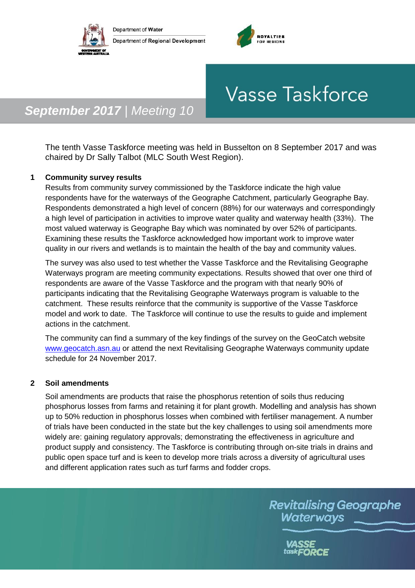



# **Vasse Taskforce**

## *September 2017 | Meeting 10*

The tenth Vasse Taskforce meeting was held in Busselton on 8 September 2017 and was chaired by Dr Sally Talbot (MLC South West Region).

### **1 Community survey results**

Results from community survey commissioned by the Taskforce indicate the high value respondents have for the waterways of the Geographe Catchment, particularly Geographe Bay. Respondents demonstrated a high level of concern (88%) for our waterways and correspondingly a high level of participation in activities to improve water quality and waterway health (33%). The most valued waterway is Geographe Bay which was nominated by over 52% of participants. Examining these results the Taskforce acknowledged how important work to improve water quality in our rivers and wetlands is to maintain the health of the bay and community values.

The survey was also used to test whether the Vasse Taskforce and the Revitalising Geographe Waterways program are meeting community expectations. Results showed that over one third of respondents are aware of the Vasse Taskforce and the program with that nearly 90% of participants indicating that the Revitalising Geographe Waterways program is valuable to the catchment. These results reinforce that the community is supportive of the Vasse Taskforce model and work to date. The Taskforce will continue to use the results to guide and implement actions in the catchment.

The community can find a summary of the key findings of the survey on the GeoCatch website [www.geocatch.asn.au](http://www.geocatch.asn.au/) or attend the next Revitalising Geographe Waterways community update schedule for 24 November 2017.

### **2 Soil amendments**

Soil amendments are products that raise the phosphorus retention of soils thus reducing phosphorus losses from farms and retaining it for plant growth. Modelling and analysis has shown up to 50% reduction in phosphorus losses when combined with fertiliser management. A number of trials have been conducted in the state but the key challenges to using soil amendments more widely are: gaining regulatory approvals; demonstrating the effectiveness in agriculture and product supply and consistency. The Taskforce is contributing through on-site trials in drains and public open space turf and is keen to develop more trials across a diversity of agricultural uses and different application rates such as turf farms and fodder crops.

> **Revitalising Geographe** Waterways